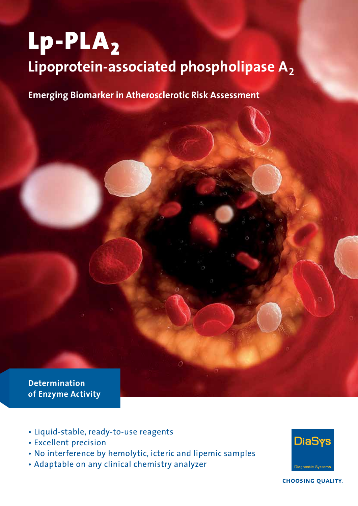# Lp-PLA<sub>2</sub> **Lipoprotein-associated phospholipase A<sup>2</sup>**

**Emerging Biomarker in Atherosclerotic Risk Assessment**

**Determination of Enzyme Activity**

- • Liquid-stable, ready-to-use reagents
- • Excellent precision
- • No interference by hemolytic, icteric and lipemic samples
- • Adaptable on any clinical chemistry analyzer



**CHOOSING QUALITY.**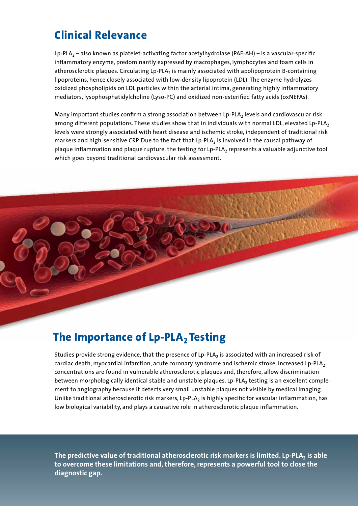# **Clinical Relevance**

Lp-PLA<sup>2</sup> – also known as platelet-activating factor acetylhydrolase (PAF-AH) – is a vascular-specific inflammatory enzyme, predominantly expressed by macrophages, lymphocytes and foam cells in atherosclerotic plaques. Circulating Lp-PLA<sub>2</sub> is mainly associated with apolipoprotein B-containing lipoproteins, hence closely associated with low-density lipoprotein (LDL). The enzyme hydrolyzes oxidized phospholipids on LDL particles within the arterial intima, generating highly inflammatory mediators, lysophosphatidylcholine (Lyso-PC) and oxidized non-esterified fatty acids (oxNEFAs).

Many important studies confirm a strong association between Lp-PLA<sub>2</sub> levels and cardiovascular risk among different populations. These studies show that in individuals with normal LDL, elevated Lp-PLA<sub>2</sub> levels were strongly associated with heart disease and ischemic stroke, independent of traditional risk markers and high-sensitive CRP. Due to the fact that Lp-PLA<sub>2</sub> is involved in the causal pathway of plaque inflammation and plaque rupture, the testing for Lp-PLA<sub>2</sub> represents a valuable adjunctive tool which goes beyond traditional cardiovascular risk assessment.



# **The Importance of Lp-PLA<sup>2</sup> Testing**

Studies provide strong evidence, that the presence of Lp-PLA<sub>2</sub> is associated with an increased risk of cardiac death, myocardial infarction, acute coronary syndrome and ischemic stroke. Increased Lp-PLA<sub>2</sub> concentrations are found in vulnerable atherosclerotic plaques and, therefore, allow discrimination between morphologically identical stable and unstable plaques. Lp-PLA<sub>2</sub> testing is an excellent complement to angiography because it detects very small unstable plaques not visible by medical imaging. Unlike traditional atherosclerotic risk markers, Lp-PLA<sub>2</sub> is highly specific for vascular inflammation, has low biological variability, and plays a causative role in atherosclerotic plaque inflammation.

**The predictive value of traditional atherosclerotic risk markers is limited. Lp-PLA2 is able to overcome these limitations and, therefore, represents a powerful tool to close the diagnostic gap.**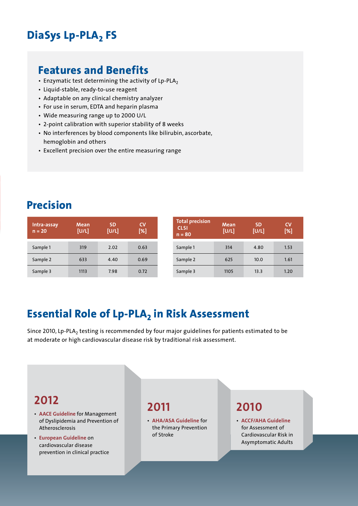# **DiaSys Lp-PLA2 FS**

#### **Features and Benefits**

- $\cdot$  Enzymatic test determining the activity of Lp-PLA<sub>2</sub>
- • Liquid-stable, ready-to-use reagent
- Adaptable on any clinical chemistry analyzer
- For use in serum, EDTA and heparin plasma
- • Wide measuring range up to 2000 U/L
- • 2-point calibration with superior stability of 8 weeks
- No interferences by blood components like bilirubin, ascorbate, hemoglobin and others
- Excellent precision over the entire measuring range

## **Precision**

| Intra-assay<br>$n = 20$ | <b>Mean</b><br>[U/L] | <b>SD</b><br>[U/L] | CV<br>[%] | Тc<br>C<br>n |
|-------------------------|----------------------|--------------------|-----------|--------------|
| Sample 1                | 319                  | 2.02               | 0.63      | Sa           |
| Sample 2                | 633                  | 4.40               | 0.69      | Sa           |
| Sample 3                | 1113                 | 7.98               | 0.72      | Sa           |

| <b>Total precision</b><br><b>CLSI</b><br>$n = 80$ | Mean<br>[U/L] | <b>SD</b><br>[U/L] | CV<br>[%] |
|---------------------------------------------------|---------------|--------------------|-----------|
|                                                   |               |                    |           |
| Sample 1                                          | 314           | 4.80               | 1.53      |
| Sample 2                                          | 625           | 10.0               | 1.61      |
| Sample 3                                          | 1105          | 13.3               | 1.20      |

# **Essential Role of Lp-PLA2 in Risk Assessment**

Since 2010, Lp-PLA<sub>2</sub> testing is recommended by four major guidelines for patients estimated to be at moderate or high cardiovascular disease risk by traditional risk assessment.

### **2012**

- • **AACE Guideline** for Management of Dyslipidemia and Prevention of Atherosclerosis
- • **European Guideline** on cardiovascular disease prevention in clinical practice

#### **2011**

• **AHA/ASA Guideline** for the Primary Prevention of Stroke

## **2010**

• **ACCF/AHA Guideline** for Assessment of Cardiovascular Risk in Asymptomatic Adults